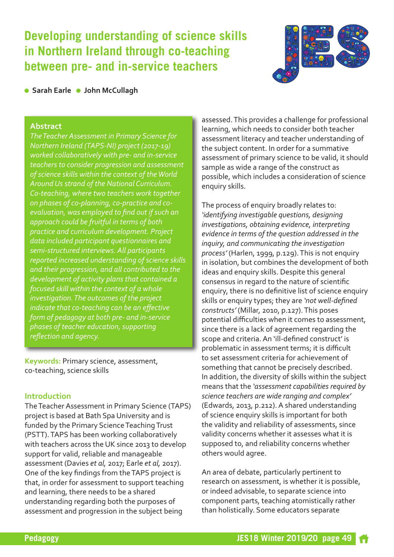### **Developing understanding of science skills in Northern Ireland through co-teaching between pre- and in-service teachers**



**l** Sarah Earle **I** John McCullagh

#### **Abstract**

*TheTeacher Assessment in Primary Science for Northern Ireland (TAPS-NI) project (2017-19) worked collaboratively with pre- and in-service teachers to consider progression and assessment of science skills within the context of theWorld AroundUs strand of the National Curriculum. Co-teaching, where two teachers work together on phases of co-planning, co-practice and coevaluation, was employed to find out if such an approach could be fruitful in terms of both practice and curriculum development. Project data included participant questionnaires and semi-structured interviews. All participants reported increased understanding of science skills and their progression, and all contributed to the development of activity plans that contained a focused skill within the context of a whole investigation.The outcomes of the project indicate that co-teaching can be an effective form of pedagogy at both pre- and in-service phases of teacher education, supporting reflection and agency.*

**Keywords:** Primary science, assessment, co-teaching, science skills

#### **Introduction**

The Teacher Assessment in Primary Science (TAPS) project is based at Bath Spa University and is funded by the Primary Science Teaching Trust (PSTT).TAPS has been working collaboratively with teachers across the UK since 2013 to develop support for valid, reliable and manageable assessment (Davies *et al,* 2017; Earle *et al,* 2017). One of the key findings from theTAPS project is that, in order for assessment to support teaching and learning, there needs to be a shared understanding regarding both the purposes of assessment and progression in the subject being

assessed.This provides a challenge for professional learning, which needs to consider both teacher assessment literacy and teacher understanding of the subject content. In order for a summative assessment of primary science to be valid, it should sample as wide a range of the construct as possible, which includes a consideration of science enquiry skills.

The process of enquiry broadly relates to: *'identifying investigable questions, designing investigations, obtaining evidence, interpreting evidence in terms of the question addressed in the inquiry, and communicating the investigation process'* (Harlen, 1999, p.129).This is not enquiry in isolation, but combines the development of both ideas and enquiry skills. Despite this general consensus in regard to the nature of scientific enquiry, there is no definitive list of science enquiry skills or enquiry types; they are *'not well-defined constructs'* (Millar, 2010, p.127).This poses potential difficulties when it comes to assessment, since there is a lack of agreement regarding the scope and criteria.An 'ill-defined construct' is problematic in assessment terms; it is difficult to set assessment criteria for achievement of something that cannot be precisely described. In addition, the diversity of skills within the subject means that the *'assessment capabilities required by science teachers are wide ranging and complex'* (Edwards, 2013, p.212).A shared understanding of science enquiry skills is important for both the validity and reliability of assessments, since validity concerns whether it assesses what it is supposed to, and reliability concerns whether others would agree.

An area of debate, particularly pertinent to research on assessment, is whether it is possible, or indeed advisable, to separate science into component parts, teaching atomistically rather than holistically. Some educators separate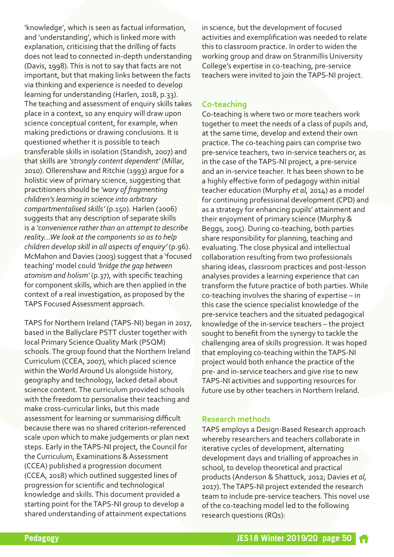'knowledge', which is seen as factual information, and 'understanding', which is linked more with explanation, criticising that the drilling of facts does not lead to connected in-depth understanding (Davis, 1998).This is not to say that facts are not important, but that making links between the facts via thinking and experience is needed to develop learning for understanding (Harlen, 2018, p.33). The teaching and assessment of enquiry skills takes place in a context, so any enquiry will draw upon science conceptual content, for example, when making predictions or drawing conclusions. It is questioned whether it is possible to teach transferable skills in isolation (Standish, 2007) and that skills are *'strongly content dependent'* (Millar, 2010). Ollerenshaw and Ritchie (1993) argue for a holistic view of primary science, suggesting that practitioners should be *'wary of fragmenting children's learning in science into arbitrary compartmentalised skills'* (p.150). Harlen (2006) suggests that any description of separate skills is a *'convenience rather than an attempt to describe reality…We look at the components so as to help children develop skill in all aspects of enquiry'* (p.96). McMahon and Davies (2003) suggest that a 'focused teaching' model could *'bridge the gap between atomism and holism'* (p.37), with specific teaching for component skills, which are then applied in the context of a real investigation, as proposed by the TAPS Focused Assessment approach.

TAPS for Northern Ireland (TAPS-NI) began in 2017, based in the Ballyclare PSTT cluster together with local Primary Science Quality Mark (PSQM) schools.The group found that the Northern Ireland Curriculum (CCEA, 2007), which placed science within the World Around Us alongside history, geography and technology, lacked detail about science content.The curriculum provided schools with the freedom to personalise their teaching and make cross-curricular links, but this made assessment for learning or summarising difficult because there was no shared criterion-referenced scale upon which to make judgements or plan next steps. Early in theTAPS-NI project, the Council for the Curriculum, Examinations & Assessment (CCEA) published a progression document (CCEA, 2018) which outlined suggested lines of progression for scientific and technological knowledge and skills.This document provided a starting point for theTAPS-NI group to develop a shared understanding of attainment expectations

in science, but the development of focused activities and exemplification was needed to relate this to classroom practice. In order to widen the working group and draw on Stranmillis University College's expertise in co-teaching, pre-service teachers were invited to join theTAPS-NI project.

#### **Co-teaching**

Co-teaching is where two or more teachers work together to meet the needs of a class of pupils and, at the same time, develop and extend their own practice.The co-teaching pairs can comprise two pre-service teachers, two in-service teachers or, as in the case of the TAPS-NI project, a pre-service and an in-service teacher. It has been shown to be a highly effective form of pedagogy within initial teacher education (Murphy *et al,* 2014) as a model for continuing professional development (CPD) and as a strategy for enhancing pupils' attainment and their enjoyment of primary science (Murphy & Beggs, 2005). During co-teaching, both parties share responsibility for planning, teaching and evaluating.The close physical and intellectual collaboration resulting from two professionals sharing ideas, classroom practices and post-lesson analyses provides a learning experience that can transform the future practice of both parties.While co-teaching involves the sharing of expertise – in this case the science specialist knowledge of the pre-service teachers and the situated pedagogical knowledge of the in-service teachers – the project sought to benefit from the synergy to tackle the challenging area of skills progression. It was hoped that employing co-teaching within theTAPS-NI project would both enhance the practice of the pre- and in-service teachers and give rise to new TAPS-NI activities and supporting resources for future use by other teachers in Northern Ireland.

#### **Research methods**

TAPS employs a Design-Based Research approach whereby researchers and teachers collaborate in iterative cycles of development, alternating development days and trialling of approaches in school, to develop theoretical and practical products (Anderson & Shattuck, 2012; Davies *et al,* 2017).TheTAPS-NI project extended the research team to include pre-service teachers.This novel use of the co-teaching model led to the following research questions (RQs):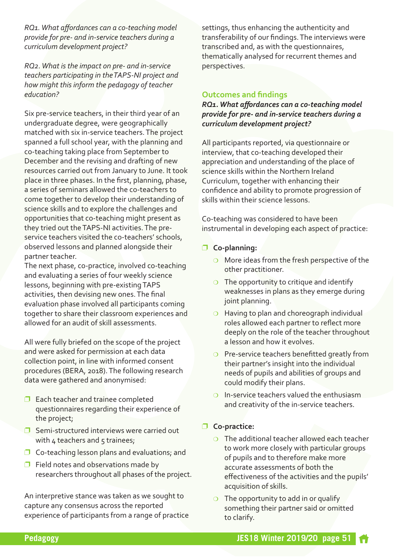*RQ1.What affordances can a co-teaching model provide for pre- and in-service teachers during a curriculum development project?*

*RQ2.What is the impact on pre- and in-service teachers participating in theTAPS-NI project and how might this inform the pedagogy of teacher education?*

Six pre-service teachers, in their third year of an undergraduate degree, were geographically matched with six in-service teachers.The project spanned a full school year, with the planning and co-teaching taking place from September to December and the revising and drafting of new resources carried out from January to June. It took place in three phases. In the first, planning, phase, a series of seminars allowed the co-teachers to come together to develop their understanding of science skills and to explore the challenges and opportunities that co-teaching might present as they tried out theTAPS-NI activities.The preservice teachers visited the co-teachers' schools, observed lessons and planned alongside their partner teacher.

The next phase, co-practice, involved co-teaching and evaluating a series of four weekly science lessons, beginning with pre-existing TAPS activities, then devising new ones.The final evaluation phase involved all participants coming together to share their classroom experiences and allowed for an audit of skill assessments.

All were fully briefed on the scope of the project and were asked for permission at each data collection point, in line with informed consent procedures (BERA, 2018).The following research data were gathered and anonymised:

- $\Box$  Each teacher and trainee completed questionnaires regarding their experience of the project;
- $\Box$  Semi-structured interviews were carried out with  $4$  teachers and  $5$  trainees;
- $\Box$  Co-teaching lesson plans and evaluations; and
- $\Box$  Field notes and observations made by researchers throughout all phases of the project.

An interpretive stance was taken as we sought to capture any consensus across the reported experience of participants from a range of practice settings, thus enhancing the authenticity and transferability of our findings.The interviews were transcribed and, as with the questionnaires, thematically analysed for recurrent themes and perspectives.

#### **Outcomes and findings**

*RQ1.What affordances can a co-teaching model provide for pre- and in-service teachers during a curriculum development project?*

All participants reported, via questionnaire or interview, that co-teaching developed their appreciation and understanding of the place of science skills within the Northern Ireland Curriculum, together with enhancing their confidence and ability to promote progression of skills within their science lessons.

Co-teaching was considered to have been instrumental in developing each aspect of practice:

- p **Co-planning:**
	- $\circ$  More ideas from the fresh perspective of the other practitioner.
	- $\circ$  The opportunity to critique and identify weaknesses in plans as they emerge during joint planning.
	- $\circ$  Having to plan and choreograph individual roles allowed each partner to reflect more deeply on the role of the teacher throughout a lesson and how it evolves.
	- $\circ$  Pre-service teachers benefitted greatly from their partner's insight into the individual needs of pupils and abilities of groups and could modify their plans.
	- $\circ$  In-service teachers valued the enthusiasm and creativity of the in-service teachers.

#### p **Co-practice:**

- $\circ$  The additional teacher allowed each teacher to work more closely with particular groups of pupils and to therefore make more accurate assessments of both the effectiveness of the activities and the pupils' acquisition of skills.
- $\circ$  The opportunity to add in or qualify something their partner said or omitted to clarify.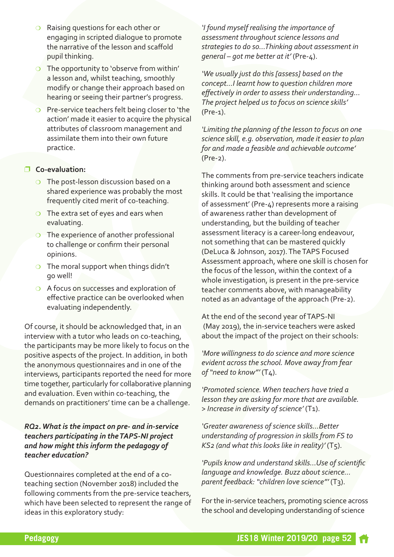- $\circ$  Raising questions for each other or engaging in scripted dialogue to promote the narrative of the lesson and scaffold pupil thinking.
- $\overline{O}$  The opportunity to 'observe from within' a lesson and, whilst teaching, smoothly modify or change their approach based on hearing or seeing their partner's progress.
- $\circ$  Pre-service teachers felt being closer to 'the action' made it easier to acquire the physical attributes of classroom management and assimilate them into their own future practice.

#### p **Co-evaluation:**

- $\circ$  The post-lesson discussion based on a shared experience was probably the most frequently cited merit of co-teaching.
- $\circ$  The extra set of eyes and ears when evaluating.
- $\circ$  The experience of another professional to challenge or confirm their personal opinions.
- $\circ$  The moral support when things didn't go well!
- $\circ$  A focus on successes and exploration of effective practice can be overlooked when evaluating independently.

Of course, it should be acknowledged that, in an interview with a tutor who leads on co-teaching, the participants may be more likely to focus on the positive aspects of the project. In addition, in both the anonymous questionnaires and in one of the interviews, participants reported the need for more time together, particularly for collaborative planning and evaluation. Even within co-teaching, the demands on practitioners' time can be a challenge.

#### *RQ2.What is the impact on pre- and in-service teachers participating in theTAPS-NI project and how might this inform the pedagogy of teacher education?*

Questionnaires completed at the end of a coteaching section (November 2018) included the following comments from the pre-service teachers, which have been selected to represent the range of ideas in this exploratory study:

*'I found myself realising the importance of assessment throughout science lessons and strategies to do so…Thinking about assessment in general – got me better at it'* (Pre-4).

*'We usually just do this [assess] based on the concept…I learnt how to question children more effectively in order to assess their understanding… The project helped us to focus on science skills'* (Pre-1).

*'Limiting the planning of the lesson to focus on one science skill, e.g. observation, made it easier to plan for and made a feasible and achievable outcome'* (Pre-2).

The comments from pre-service teachers indicate thinking around both assessment and science skills. It could be that 'realising the importance of assessment' (Pre-4) represents more a raising of awareness rather than development of understanding, but the building of teacher assessment literacy is a career-long endeavour, not something that can be mastered quickly (DeLuca & Johnson, 2017).TheTAPS Focused Assessment approach, where one skill is chosen for the focus of the lesson, within the context of a whole investigation, is present in the pre-service teacher comments above, with manageability noted as an advantage of the approach (Pre-2).

At the end of the second year ofTAPS-NI (May 2019), the in-service teachers were asked about the impact of the project on their schools:

*'More willingness to do science and more science evident across the school. Move away from fear of "need to know"'* (T4).

*'Promoted science.When teachers have tried a lesson they are asking for more that are available. > Increase in diversity of science'* (T1).

*'Greater awareness of science skills…Better understanding of progression in skills from FS to KS2 (and what this looks like in reality)'* (T5).

*'Pupils know and understand skills…Use of scientific language and knowledge. Buzz about science… parent feedback: "children love science"'* (T3).

For the in-service teachers, promoting science across the school and developing understanding of science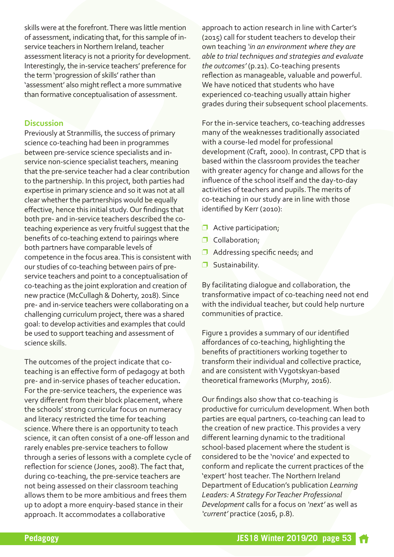skills were at the forefront. There was little mention of assessment, indicating that, forthis sample of inservice teachers in Northern Ireland, teacher assessment literacy is not a priority for development. Interestingly, the in-service teachers' preference for the term 'progression of skills' rather than 'assessment' also might reflect a more summative than formative conceptualisation of assessment.

#### **Discussion**

Previously at Stranmillis, the success of primary science co-teaching had been in programmes between pre-service science specialists and inservice non-science specialist teachers, meaning that the pre-service teacher had a clear contribution to the partnership. In this project, both parties had expertise in primary science and so it was not at all clear whether the partnerships would be equally effective, hence this initial study.Our findings that both pre- and in-service teachers described the coteaching experience as very fruitful suggest that the benefits of co-teaching extend to pairings where both partners have comparable levels of competence in the focus area.This is consistent with our studies of co-teaching between pairs of preservice teachers and point to a conceptualisation of co-teaching as the joint exploration and creation of new practice (McCullagh & Doherty, 2018). Since pre- and in-service teachers were collaborating on a challenging curriculum project, there was a shared goal: to develop activities and examples that could be used to support teaching and assessment of science skills.

The outcomes of the project indicate that coteaching is an effective form of pedagogy at both pre- and in-service phases of teacher education**.** For the pre-service teachers, the experience was very different from their block placement, where the schools' strong curricular focus on numeracy and literacy restricted the time for teaching science.Where there is an opportunity to teach science, it can often consist of a one-off lesson and rarely enables pre-service teachers to follow through a series of lessons with a complete cycle of reflection for science (Jones, 2008).The fact that, during co-teaching, the pre-service teachers are not being assessed on their classroom teaching allows them to be more ambitious and frees them up to adopt a more enquiry-based stance in their approach. It accommodates a collaborative

approach to action research in line with Carter's (2015) call for student teachers to develop their own teaching *'in an environment where they are able to trial techniques and strategies and evaluate the outcomes'* (p.21). Co-teaching presents reflection as manageable, valuable and powerful. We have noticed that students who have experienced co-teaching usually attain higher grades during their subsequent school placements.

For the in-service teachers, co-teaching addresses many of the weaknesses traditionally associated with a course-led model for professional development (Craft, 2000). In contrast, CPD that is based within the classroom provides the teacher with greater agency for change and allows for the influence of the school itself and the day-to-day activities of teachers and pupils.The merits of co-teaching in our study are in line with those identified by Kerr (2010):

- $\Box$  Active participation;
- **D** Collaboration;
- $\Box$  Addressing specific needs; and
- $\Box$  Sustainability.

By facilitating dialogue and collaboration, the transformative impact of co-teaching need not end with the individual teacher, but could help nurture communities of practice.

Figure 1 provides a summary of our identified affordances of co-teaching, highlighting the benefits of practitioners working together to transform their individual and collective practice, and are consistent with Vygotskyan-based theoretical frameworks (Murphy, 2016).

Our findings also show that co-teaching is productive for curriculum development.When both parties are equal partners, co-teaching can lead to the creation of new practice.This provides a very different learning dynamic to the traditional school-based placement where the student is considered to be the 'novice' and expected to conform and replicate the current practices of the 'expert' host teacher.The Northern Ireland Department of Education's publication *Learning Leaders: A Strategy ForTeacher Professional Development* calls for a focus on *'next'* as well as *'current'* practice (2016, p.8).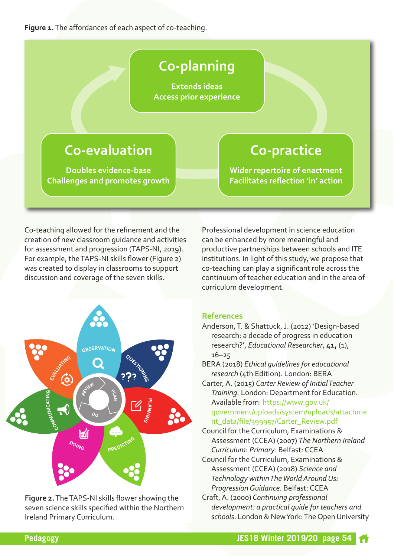**Figure 1.**The affordances of each aspect of co-teaching.

# **Co-planning**

**Extends ideas Access prior experience**

# **Co-evaluation**

**Doubles evidence-base Challenges and promotes growth**

# **Co-practice**

**Wider repertoire of enactment Facilitates reflection 'in' action**

Co-teaching allowed for the refinement and the creation of new classroom guidance and activities for assessment and progression (TAPS-NI, 2019). For example, theTAPS-NI skills flower (Figure 2) was created to display in classrooms to support discussion and coverage of the seven skills.



**Figure 2.**TheTAPS-NI skills flower showing the seven science skills specified within the Northern Ireland Primary Curriculum.

Professional development in science education can be enhanced by more meaningful and productive partnerships between schools and ITE institutions. In light of this study, we propose that co-teaching can play a significant role across the continuum of teacher education and in the area of curriculum development.

#### **References**

- Anderson, T. & Shattuck, J. (2012) 'Design-based research: a decade of progress in education research?', *Educational Researcher*, **41,** (1), 16–25
- BERA (2018) *Ethical guidelines for educational research* (4th Edition). London: BERA

Carter,A. (2015) *Carter Review of InitialTeacher Training.* London: Department for Education. Available from: https://www.gov.uk/ [government/uploads/system/uploads/attachme](https://www.gov.uk/government/uploads/system/uploads/attachment_data/file/399957/Carter_Review.pdf) nt\_data/file/399957/Carter\_Review.pdf

- Council for the Curriculum, Examinations & Assessment (CCEA) (2007) *The Northern Ireland Curriculum: Primary*. Belfast: CCEA
- Council for the Curriculum, Examinations & Assessment (CCEA) (2018) *Science and Technology withinTheWorld AroundUs: ProgressionGuidance.* Belfast: CCEA
- Craft,A. (2000) *Continuing professional development: a practical guide for teachers and* schools. London & New York: The Open University